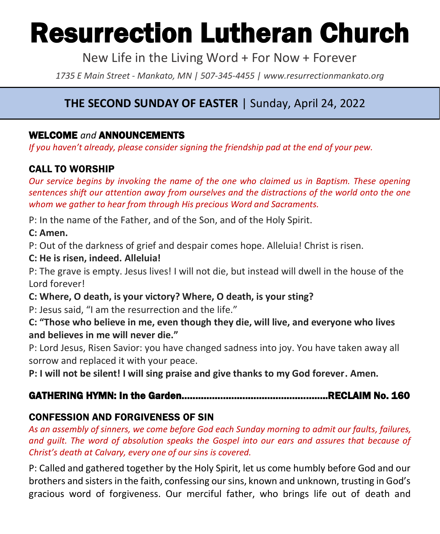# Resurrection Lutheran Church

New Life in the Living Word + For Now + Forever

*1735 E Main Street - Mankato, MN | 507-345-4455 | [www.resurrectionmankato.org](http://www.resurrectionmankato.org/)*

# **THE SECOND SUNDAY OF EASTER** | Sunday, April 24, 2022

### WELCOME *and* ANNOUNCEMENTS

*If you haven't already, please consider signing the friendship pad at the end of your pew.* 

# CALL TO WORSHIP

*Our service begins by invoking the name of the one who claimed us in Baptism. These opening sentences shift our attention away from ourselves and the distractions of the world onto the one whom we gather to hear from through His precious Word and Sacraments.* 

P: In the name of the Father, and of the Son, and of the Holy Spirit.

#### **C: Amen.**

P: Out of the darkness of grief and despair comes hope. Alleluia! Christ is risen.

#### **C: He is risen, indeed. Alleluia!**

P: The grave is empty. Jesus lives! I will not die, but instead will dwell in the house of the Lord forever!

**C: Where, O death, is your victory? Where, O death, is your sting?** 

P: Jesus said, "I am the resurrection and the life."

**C: "Those who believe in me, even though they die, will live, and everyone who lives and believes in me will never die."**

P: Lord Jesus, Risen Savior: you have changed sadness into joy. You have taken away all sorrow and replaced it with your peace.

**P: I will not be silent! I will sing praise and give thanks to my God forever. Amen.**

# GATHERING HYMN: In the Garden……………………………………………..RECLAIM No. 160

# CONFESSION AND FORGIVENESS OF SIN

*As an assembly of sinners, we come before God each Sunday morning to admit our faults, failures, and guilt. The word of absolution speaks the Gospel into our ears and assures that because of Christ's death at Calvary, every one of our sins is covered.* 

P: Called and gathered together by the Holy Spirit, let us come humbly before God and our brothers and sisters in the faith, confessing our sins, known and unknown, trusting in God's gracious word of forgiveness. Our merciful father, who brings life out of death and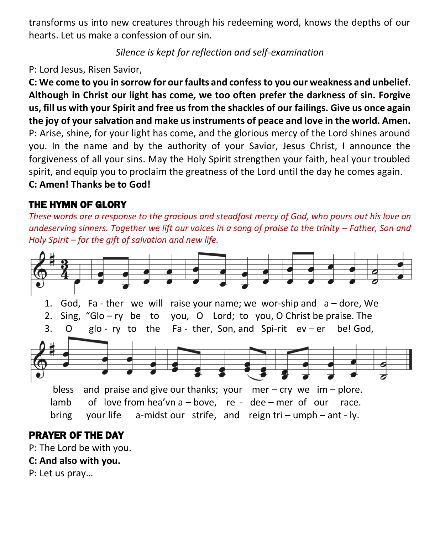transforms us into new creatures through his redeeming word, knows the depths of our hearts. Let us make a confession of our sin.

*Silence is kept for reflection and self-examination*

P: Lord Jesus, Risen Savior,

**C: We come to you in sorrow for our faults and confess to you our weakness and unbelief. Although in Christ our light has come, we too often prefer the darkness of sin. Forgive us, fill us with your Spirit and free us from the shackles of our failings. Give us once again the joy of your salvation and make us instruments of peace and love in the world. Amen.** P: Arise, shine, for your light has come, and the glorious mercy of the Lord shines around you. In the name and by the authority of your Savior, Jesus Christ, I announce the forgiveness of all your sins. May the Holy Spirit strengthen your faith, heal your troubled spirit, and equip you to proclaim the greatness of the Lord until the day he comes again.

**C: Amen! Thanks be to God!** 

# THE HYMN OF GLORY

*These words are a response to the gracious and steadfast mercy of God, who pours out his love on undeserving sinners. Together we lift our voices in a song of praise to the trinity – Father, Son and Holy Spirit – for the gift of salvation and new life.* 



# PRAYER OF THE DAY

P: The Lord be with you.

**C: And also with you.**

P: Let us pray…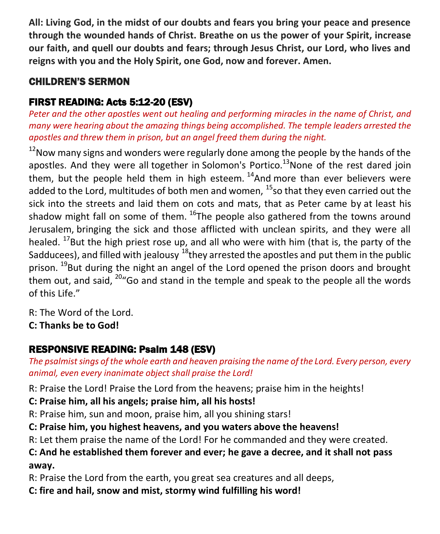**All: Living God, in the midst of our doubts and fears you bring your peace and presence through the wounded hands of Christ. Breathe on us the power of your Spirit, increase our faith, and quell our doubts and fears; through Jesus Christ, our Lord, who lives and reigns with you and the Holy Spirit, one God, now and forever. Amen.**

# CHILDREN'S SERMON

# FIRST READING: Acts 5:12-20 (ESV)

Peter and the other apostles went out healing and performing miracles in the name of Christ, and *many were hearing about the amazing things being accomplished. The temple leaders arrested the apostles and threw them in prison, but an angel freed them during the night.* 

 $12$ Now many signs and wonders were regularly done among the people by the hands of the apostles. And they were all together in Solomon's Portico.<sup>13</sup>None of the rest dared join them, but the people held them in high esteem.  $14$ And more than ever believers were added to the Lord, multitudes of both men and women,  $^{15}$ so that they even carried out the sick into the streets and laid them on cots and mats, that as Peter came by at least his shadow might fall on some of them.  $^{16}$ The people also gathered from the towns around Jerusalem, bringing the sick and those afflicted with unclean spirits, and they were all healed.  $^{17}$ But the high priest rose up, and all who were with him (that is, the party of the Sadducees), and filled with jealousy  $^{18}$ they arrested the apostles and put them in the public prison.  $^{19}$ But during the night an angel of the Lord opened the prison doors and brought them out, and said,  $20^{\circ}$  Go and stand in the temple and speak to the people all the words of this Life."

R: The Word of the Lord.

**C: Thanks be to God!** 

# RESPONSIVE READING: Psalm 148 (ESV)

*The psalmist sings of the whole earth and heaven praising the name of the Lord. Every person, every animal, even every inanimate object shall praise the Lord!* 

R: Praise the Lord! Praise the Lord from the heavens; praise him in the heights!

**C: Praise him, all his angels; praise him, all his hosts!**

R: Praise him, sun and moon, praise him, all you shining stars!

**C: Praise him, you highest heavens, and you waters above the heavens!**

R: Let them praise the name of the Lord! For he commanded and they were created.

# **C: And he established them forever and ever; he gave a decree, and it shall not pass away.**

R: Praise the Lord from the earth, you great sea creatures and all deeps,

**C: fire and hail, snow and mist, stormy wind fulfilling his word!**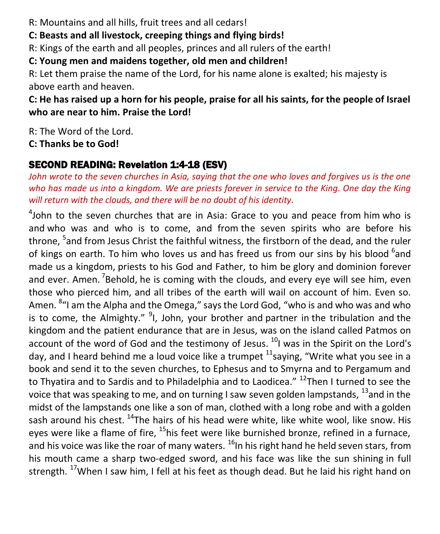R: Mountains and all hills, fruit trees and all cedars!

**C: Beasts and all livestock, creeping things and flying birds!**

R: Kings of the earth and all peoples, princes and all rulers of the earth!

**C: Young men and maidens together, old men and children!**

R: Let them praise the name of the Lord, for his name alone is exalted; his majesty is above earth and heaven.

**C: He has raised up a horn for his people, praise for all his saints, for the people of Israel who are near to him. Praise the Lord!**

R: The Word of the Lord.

**C: Thanks be to God!** 

# SECOND READING: Revelation 1:4-18 (ESV)

*John wrote to the seven churches in Asia, saying that the one who loves and forgives us is the one who has made us into a kingdom. We are priests forever in service to the King. One day the King will return with the clouds, and there will be no doubt of his identity.*

<sup>4</sup>John to the seven churches that are in Asia: Grace to you and peace from him who is and who was and who is to come, and from the seven spirits who are before his throne, <sup>5</sup>and from Jesus Christ the faithful witness, the firstborn of the dead, and the ruler of kings on earth. To him who loves us and has freed us from our sins by his blood <sup>6</sup>and made us a kingdom, priests to his God and Father, to him be glory and dominion forever and ever. Amen. <sup>7</sup>Behold, he is coming with the clouds, and every eye will see him, even those who pierced him, and all tribes of the earth will wail on account of him. Even so. Amen. <sup>8</sup>"I am the Alpha and the Omega," says the Lord God, "who is and who was and who is to come, the Almighty." <sup>9</sup>I, John, your brother and partner in the tribulation and the kingdom and the patient endurance that are in Jesus, was on the island called Patmos on account of the word of God and the testimony of Jesus.  $^{10}$ I was in the Spirit on the Lord's day, and I heard behind me a loud voice like a trumpet  $^{11}$ saying, "Write what you see in a book and send it to the seven churches, to Ephesus and to Smyrna and to Pergamum and to Thyatira and to Sardis and to Philadelphia and to Laodicea." <sup>12</sup>Then I turned to see the voice that was speaking to me, and on turning I saw seven golden lampstands, <sup>13</sup>and in the midst of the lampstands one like a son of man, clothed with a long robe and with a golden sash around his chest. <sup>14</sup>The hairs of his head were white, like white wool, like snow. His eyes were like a flame of fire, <sup>15</sup>his feet were like burnished bronze, refined in a furnace, and his voice was like the roar of many waters.  $^{16}$ In his right hand he held seven stars, from his mouth came a sharp two-edged sword, and his face was like the sun shining in full strength.  $^{17}$ When I saw him, I fell at his feet as though dead. But he laid his right hand on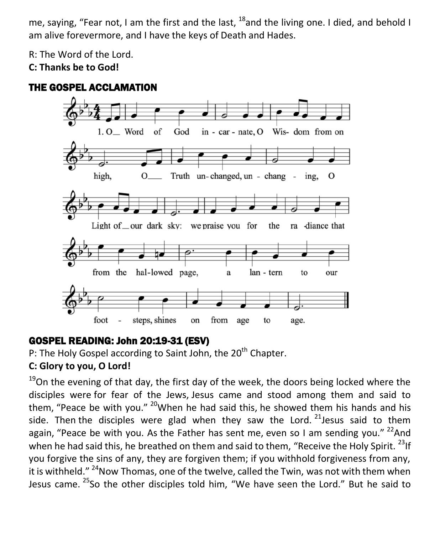me, saying, "Fear not, I am the first and the last,  $^{18}$  and the living one. I died, and behold I am alive forevermore, and I have the keys of Death and Hades.

R: The Word of the Lord.

**C: Thanks be to God!** 



# THE GOSPEL ACCLAMATION

# GOSPEL READING: John 20:19-31 (ESV)

P: The Holy Gospel according to Saint John, the  $20<sup>th</sup>$  Chapter. **C: Glory to you, O Lord!** 

 $19$ On the evening of that day, the first day of the week, the doors being locked where the disciples were for fear of the Jews, Jesus came and stood among them and said to them, "Peace be with you."  $20$ When he had said this, he showed them his hands and his side. Then the disciples were glad when they saw the Lord.  $21$  Jesus said to them again, "Peace be with you. As the Father has sent me, even so I am sending you."  $2^{2}$ And when he had said this, he breathed on them and said to them, "Receive the Holy Spirit.  $^{23}$  If you forgive the sins of any, they are forgiven them; if you withhold forgiveness from any, it is withheld."  $^{24}$ Now Thomas, one of the twelve, called the Twin, was not with them when Jesus came. <sup>25</sup>So the other disciples told him, "We have seen the Lord." But he said to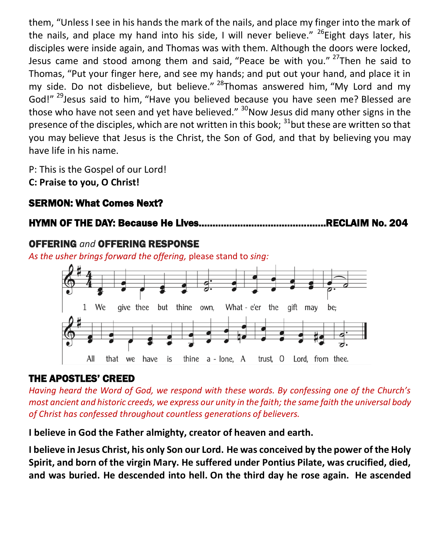them, "Unless I see in his hands the mark of the nails, and place my finger into the mark of the nails, and place my hand into his side, I will never believe."  $^{26}$ Eight days later, his disciples were inside again, and Thomas was with them. Although the doors were locked, Jesus came and stood among them and said, "Peace be with you." <sup>27</sup>Then he said to Thomas, "Put your finger here, and see my hands; and put out your hand, and place it in my side. Do not disbelieve, but believe."  $^{28}$ Thomas answered him, "My Lord and my God!"<sup>29</sup>Jesus said to him, "Have you believed because you have seen me? Blessed are those who have not seen and yet have believed."  $30$ Now Jesus did many other signs in the presence of the disciples, which are not written in this book; <sup>31</sup>but these are written so that you may believe that Jesus is the Christ, the Son of God, and that by believing you may have life in his name.

P: This is the Gospel of our Lord! **C: Praise to you, O Christ!** 

# SERMON: What Comes Next?

### HYMN OF THE DAY: Because He Lives……………………………………….RECLAIM No. 204

#### OFFERING *and* OFFERING RESPONSE

*As the usher brings forward the offering,* please stand to *sing:*



#### THE APOSTLES' CREED

*Having heard the Word of God, we respond with these words. By confessing one of the Church's most ancient and historic creeds, we express our unity in the faith; the same faith the universal body of Christ has confessed throughout countless generations of believers.* 

**I believe in God the Father almighty, creator of heaven and earth.**

**I believe in Jesus Christ, his only Son our Lord. He was conceived by the power of the Holy Spirit, and born of the virgin Mary. He suffered under Pontius Pilate, was crucified, died, and was buried. He descended into hell. On the third day he rose again. He ascended**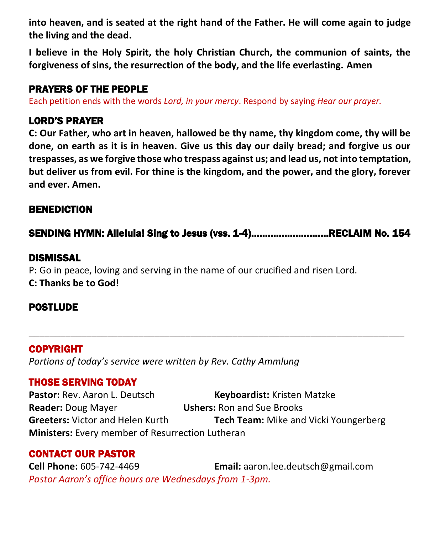**into heaven, and is seated at the right hand of the Father. He will come again to judge the living and the dead.**

**I believe in the Holy Spirit, the holy Christian Church, the communion of saints, the forgiveness of sins, the resurrection of the body, and the life everlasting. Amen**

#### PRAYERS OF THE PEOPLE

Each petition ends with the words *Lord, in your mercy*. Respond by saying *Hear our prayer.*

#### LORD'S PRAYER

**C: Our Father, who art in heaven, hallowed be thy name, thy kingdom come, thy will be done, on earth as it is in heaven. Give us this day our daily bread; and forgive us our trespasses, as we forgive those who trespass against us; and lead us, not into temptation, but deliver us from evil. For thine is the kingdom, and the power, and the glory, forever and ever. Amen.**

#### BENEDICTION

SENDING HYMN: Alleluia! Sing to Jesus (vss. 1-4)……………………….RECLAIM No. 154

\_\_\_\_\_\_\_\_\_\_\_\_\_\_\_\_\_\_\_\_\_\_\_\_\_\_\_\_\_\_\_\_\_\_\_\_\_\_\_\_\_\_\_\_\_\_\_\_\_\_\_\_\_\_\_\_\_\_\_\_\_\_\_\_\_\_\_\_\_\_\_\_

#### DISMISSAL

P: Go in peace, loving and serving in the name of our crucified and risen Lord. **C: Thanks be to God!**

#### **POSTLUDE**

#### COPYRIGHT

*Portions of today's service were written by Rev. Cathy Ammlung*

# THOSE SERVING TODAY

**Pastor:** Rev. Aaron L. Deutsch **Keyboardist:** Kristen Matzke **Reader:** Doug Mayer **Ushers:** Ron and Sue Brooks **Greeters:** Victor and Helen Kurth **Tech Team:** Mike and Vicki Youngerberg **Ministers:** Every member of Resurrection Lutheran

# CONTACT OUR PASTOR

**Cell Phone:** 605-742-4469 **Email:** [aaron.lee.deutsch@gmail.com](mailto:aaron.lee.deutsch@gmail.com) *Pastor Aaron's office hours are Wednesdays from 1-3pm.*